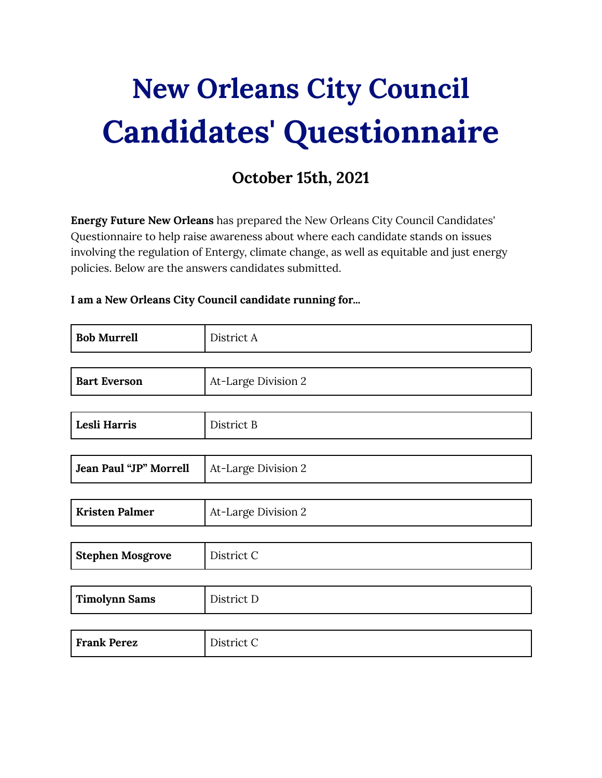# **New [Orleans](https://docs.google.com/forms/d/1k6LohDPCOWwVn6U1JWKYZ7LXb580qtzLeSjEMsd6UfQ/edit?ts=615b5160) City Council Candidates' [Questionnaire](https://docs.google.com/forms/d/1k6LohDPCOWwVn6U1JWKYZ7LXb580qtzLeSjEMsd6UfQ/edit?ts=615b5160)**

## **October 15th, 2021**

**Energy Future New Orleans** has prepared the New Orleans City Council Candidates' Questionnaire to help raise awareness about where each candidate stands on issues involving the regulation of Entergy, climate change, as well as equitable and just energy policies. Below are the answers candidates submitted.

#### **I am a New Orleans City Council candidate running for...**

| <b>Bob Murrell</b>      | District A          |
|-------------------------|---------------------|
|                         |                     |
| <b>Bart Everson</b>     | At-Large Division 2 |
|                         |                     |
| Lesli Harris            | District B          |
|                         |                     |
| Jean Paul "JP" Morrell  | At-Large Division 2 |
|                         |                     |
| <b>Kristen Palmer</b>   | At-Large Division 2 |
|                         |                     |
| <b>Stephen Mosgrove</b> | District C          |
|                         |                     |
| <b>Timolynn Sams</b>    | District D          |
|                         |                     |
| <b>Frank Perez</b>      | District C          |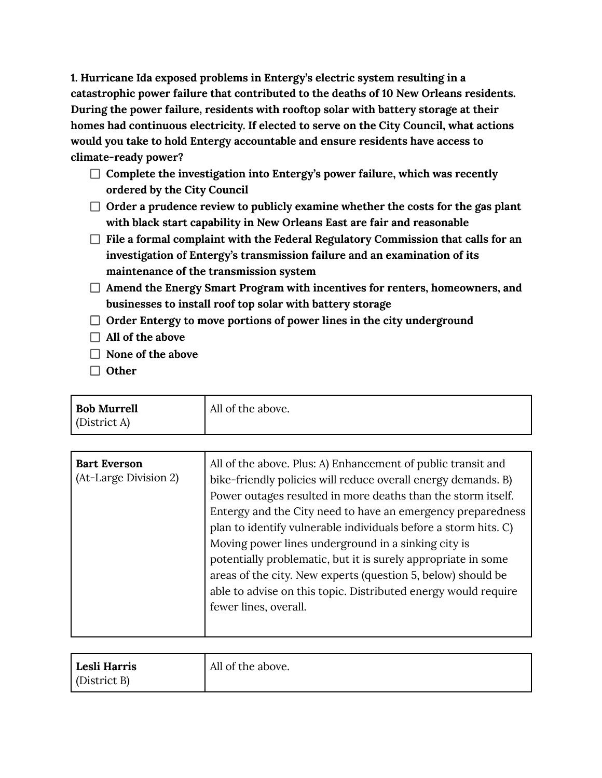**1. Hurricane Ida exposed problems in Entergy's electric system resulting in a catastrophic power failure that contributed to the deaths of 10 New Orleans residents. During the power failure, residents with rooftop solar with battery storage at their homes had continuous electricity. If elected to serve on the City Council, what actions would you take to hold Entergy accountable and ensure residents have access to climate-ready power?**

- **Complete the investigation into Entergy's power failure, which was recently ordered by the City Council**
- **Order a prudence review to publicly examine whether the costs for the gas plant with black start capability in New Orleans East are fair and reasonable**
- **File a formal complaint with the Federal Regulatory Commission that calls for an investigation of Entergy's transmission failure and an examination of its maintenance of the transmission system**
- **Amend the Energy Smart Program with incentives for renters, homeowners, and businesses to install roof top solar with battery storage**
- **Order Entergy to move portions of power lines in the city underground**
- **All of the above**
- **None of the above**
- **Other**

| <b>Bob Murrell</b><br>$\int$ (District A) | All of the above. |
|-------------------------------------------|-------------------|
|                                           |                   |

| <b>Bart Everson</b><br>(At-Large Division 2) | All of the above. Plus: A) Enhancement of public transit and<br>bike-friendly policies will reduce overall energy demands. B)<br>Power outages resulted in more deaths than the storm itself.<br>Entergy and the City need to have an emergency preparedness<br>plan to identify vulnerable individuals before a storm hits. C)<br>Moving power lines underground in a sinking city is<br>potentially problematic, but it is surely appropriate in some<br>areas of the city. New experts (question 5, below) should be |
|----------------------------------------------|-------------------------------------------------------------------------------------------------------------------------------------------------------------------------------------------------------------------------------------------------------------------------------------------------------------------------------------------------------------------------------------------------------------------------------------------------------------------------------------------------------------------------|
|                                              |                                                                                                                                                                                                                                                                                                                                                                                                                                                                                                                         |
|                                              | able to advise on this topic. Distributed energy would require<br>fewer lines, overall.                                                                                                                                                                                                                                                                                                                                                                                                                                 |

| Lesli Harris         | All of the above. |
|----------------------|-------------------|
| $\vert$ (District B) |                   |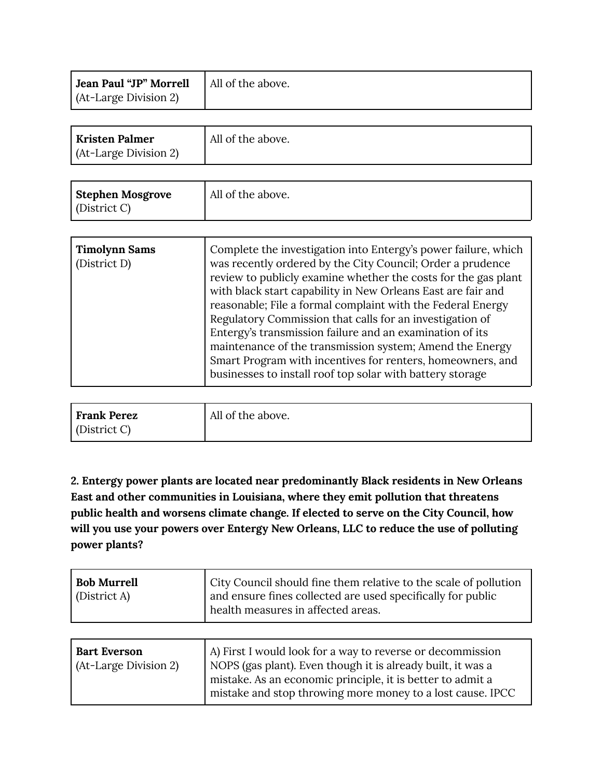| <b>Jean Paul "JP" Morrell</b> $\vert$ All of the above. |  |
|---------------------------------------------------------|--|
| (At-Large Division 2)                                   |  |

| <b>Kristen Palmer</b> | All of the above. |
|-----------------------|-------------------|
| (At-Large Division 2) |                   |

| Stephen Mosgrove | All of the above. |
|------------------|-------------------|
| (District C)     |                   |

| <b>Timolynn Sams</b><br>Complete the investigation into Entergy's power failure, which<br>was recently ordered by the City Council; Order a prudence<br>(District D)<br>review to publicly examine whether the costs for the gas plant<br>with black start capability in New Orleans East are fair and<br>reasonable; File a formal complaint with the Federal Energy<br>Regulatory Commission that calls for an investigation of<br>Entergy's transmission failure and an examination of its<br>maintenance of the transmission system; Amend the Energy<br>Smart Program with incentives for renters, homeowners, and<br>businesses to install roof top solar with battery storage |
|--------------------------------------------------------------------------------------------------------------------------------------------------------------------------------------------------------------------------------------------------------------------------------------------------------------------------------------------------------------------------------------------------------------------------------------------------------------------------------------------------------------------------------------------------------------------------------------------------------------------------------------------------------------------------------------|
|--------------------------------------------------------------------------------------------------------------------------------------------------------------------------------------------------------------------------------------------------------------------------------------------------------------------------------------------------------------------------------------------------------------------------------------------------------------------------------------------------------------------------------------------------------------------------------------------------------------------------------------------------------------------------------------|

| Frank Perez          | All of the above. |
|----------------------|-------------------|
| $\vert$ (District C) |                   |

**2. Entergy power plants are located near predominantly Black residents in New Orleans East and other communities in Louisiana, where they emit pollution that threatens public health and worsens climate change. If elected to serve on the City Council, how will you use your powers over Entergy New Orleans, LLC to reduce the use of polluting power plants?**

| <b>Bob Murrell</b><br>(District A)           | City Council should fine them relative to the scale of pollution<br>and ensure fines collected are used specifically for public<br>health measures in affected areas.                                                                                 |
|----------------------------------------------|-------------------------------------------------------------------------------------------------------------------------------------------------------------------------------------------------------------------------------------------------------|
|                                              |                                                                                                                                                                                                                                                       |
| <b>Bart Everson</b><br>(At-Large Division 2) | A) First I would look for a way to reverse or decommission<br>NOPS (gas plant). Even though it is already built, it was a<br>mistake. As an economic principle, it is better to admit a<br>mistake and stop throwing more money to a lost cause. IPCC |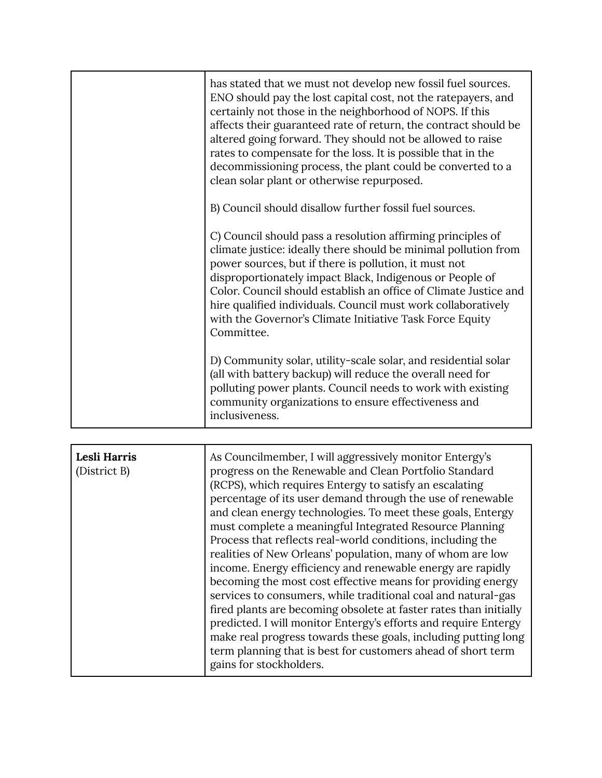| has stated that we must not develop new fossil fuel sources.<br>ENO should pay the lost capital cost, not the ratepayers, and<br>certainly not those in the neighborhood of NOPS. If this<br>affects their guaranteed rate of return, the contract should be<br>altered going forward. They should not be allowed to raise<br>rates to compensate for the loss. It is possible that in the<br>decommissioning process, the plant could be converted to a<br>clean solar plant or otherwise repurposed. |
|--------------------------------------------------------------------------------------------------------------------------------------------------------------------------------------------------------------------------------------------------------------------------------------------------------------------------------------------------------------------------------------------------------------------------------------------------------------------------------------------------------|
| B) Council should disallow further fossil fuel sources.                                                                                                                                                                                                                                                                                                                                                                                                                                                |
| C) Council should pass a resolution affirming principles of<br>climate justice: ideally there should be minimal pollution from<br>power sources, but if there is pollution, it must not<br>disproportionately impact Black, Indigenous or People of<br>Color. Council should establish an office of Climate Justice and<br>hire qualified individuals. Council must work collaboratively<br>with the Governor's Climate Initiative Task Force Equity<br>Committee.                                     |
| D) Community solar, utility-scale solar, and residential solar<br>(all with battery backup) will reduce the overall need for<br>polluting power plants. Council needs to work with existing<br>community organizations to ensure effectiveness and<br>inclusiveness.                                                                                                                                                                                                                                   |

| Lesli Harris<br>(District B) | As Councilmember, I will aggressively monitor Entergy's<br>progress on the Renewable and Clean Portfolio Standard<br>(RCPS), which requires Entergy to satisfy an escalating<br>percentage of its user demand through the use of renewable<br>and clean energy technologies. To meet these goals, Entergy<br>must complete a meaningful Integrated Resource Planning<br>Process that reflects real-world conditions, including the<br>realities of New Orleans' population, many of whom are low<br>income. Energy efficiency and renewable energy are rapidly<br>becoming the most cost effective means for providing energy<br>services to consumers, while traditional coal and natural-gas<br>fired plants are becoming obsolete at faster rates than initially<br>predicted. I will monitor Entergy's efforts and require Entergy |
|------------------------------|----------------------------------------------------------------------------------------------------------------------------------------------------------------------------------------------------------------------------------------------------------------------------------------------------------------------------------------------------------------------------------------------------------------------------------------------------------------------------------------------------------------------------------------------------------------------------------------------------------------------------------------------------------------------------------------------------------------------------------------------------------------------------------------------------------------------------------------|
|                              | make real progress towards these goals, including putting long<br>term planning that is best for customers ahead of short term<br>gains for stockholders.                                                                                                                                                                                                                                                                                                                                                                                                                                                                                                                                                                                                                                                                              |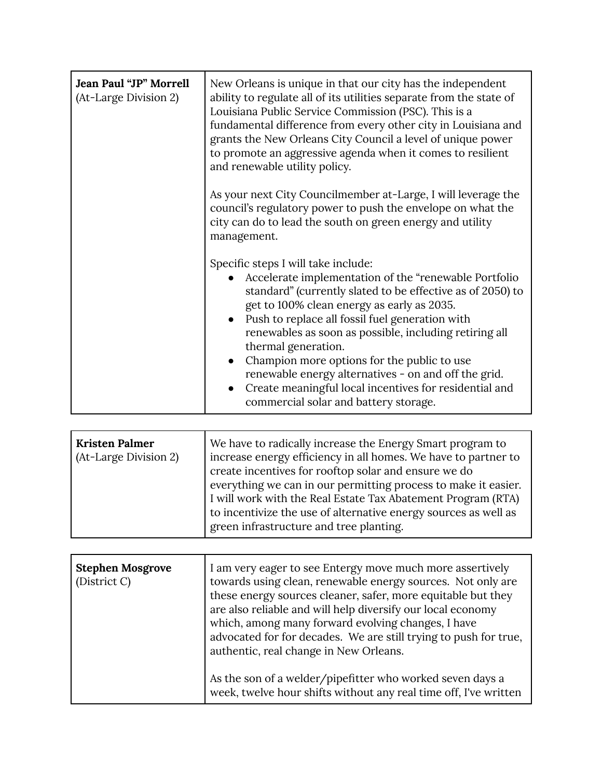| Jean Paul "JP" Morrell<br>(At-Large Division 2) | New Orleans is unique in that our city has the independent<br>ability to regulate all of its utilities separate from the state of<br>Louisiana Public Service Commission (PSC). This is a<br>fundamental difference from every other city in Louisiana and<br>grants the New Orleans City Council a level of unique power<br>to promote an aggressive agenda when it comes to resilient<br>and renewable utility policy.                                                                                                                                            |
|-------------------------------------------------|---------------------------------------------------------------------------------------------------------------------------------------------------------------------------------------------------------------------------------------------------------------------------------------------------------------------------------------------------------------------------------------------------------------------------------------------------------------------------------------------------------------------------------------------------------------------|
|                                                 | As your next City Councilmember at-Large, I will leverage the<br>council's regulatory power to push the envelope on what the<br>city can do to lead the south on green energy and utility<br>management.                                                                                                                                                                                                                                                                                                                                                            |
|                                                 | Specific steps I will take include:<br>Accelerate implementation of the "renewable Portfolio<br>standard" (currently slated to be effective as of 2050) to<br>get to 100% clean energy as early as 2035.<br>Push to replace all fossil fuel generation with<br>$\bullet$<br>renewables as soon as possible, including retiring all<br>thermal generation.<br>Champion more options for the public to use<br>renewable energy alternatives - on and off the grid.<br>Create meaningful local incentives for residential and<br>commercial solar and battery storage. |

| Kristen Palmer<br>(At-Large Division 2) | We have to radically increase the Energy Smart program to<br>increase energy efficiency in all homes. We have to partner to<br>create incentives for rooftop solar and ensure we do<br>everything we can in our permitting process to make it easier.<br>I will work with the Real Estate Tax Abatement Program (RTA)<br>to incentivize the use of alternative energy sources as well as<br>green infrastructure and tree planting. |
|-----------------------------------------|-------------------------------------------------------------------------------------------------------------------------------------------------------------------------------------------------------------------------------------------------------------------------------------------------------------------------------------------------------------------------------------------------------------------------------------|
|-----------------------------------------|-------------------------------------------------------------------------------------------------------------------------------------------------------------------------------------------------------------------------------------------------------------------------------------------------------------------------------------------------------------------------------------------------------------------------------------|

| <b>Stephen Mosgrove</b><br>(District C) | I am very eager to see Entergy move much more assertively<br>towards using clean, renewable energy sources. Not only are<br>these energy sources cleaner, safer, more equitable but they<br>are also reliable and will help diversify our local economy<br>which, among many forward evolving changes, I have<br>advocated for for decades. We are still trying to push for true,<br>authentic, real change in New Orleans. |
|-----------------------------------------|-----------------------------------------------------------------------------------------------------------------------------------------------------------------------------------------------------------------------------------------------------------------------------------------------------------------------------------------------------------------------------------------------------------------------------|
|                                         | As the son of a welder/pipefitter who worked seven days a<br>week, twelve hour shifts without any real time off, I've written                                                                                                                                                                                                                                                                                               |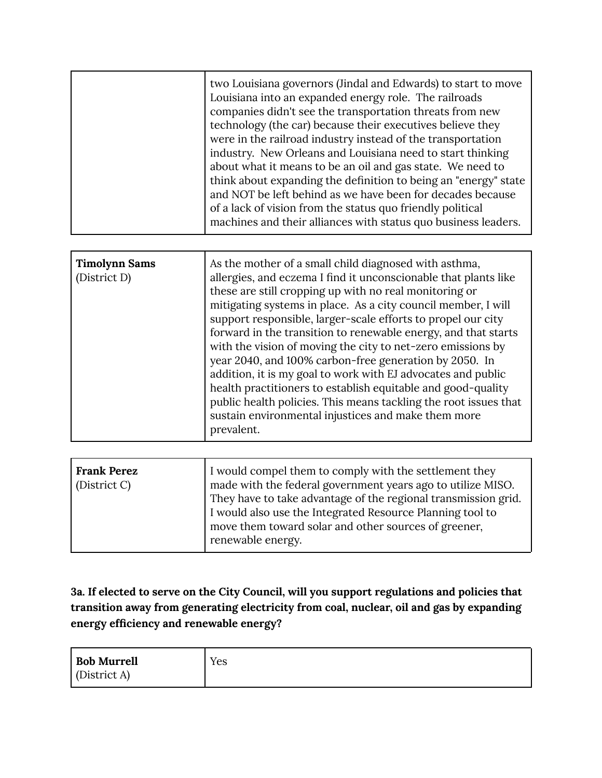| <b>Timolynn Sams</b><br>(District D) | As the mother of a small child diagnosed with asthma,<br>allergies, and eczema I find it unconscionable that plants like<br>these are still cropping up with no real monitoring or<br>mitigating systems in place. As a city council member, I will<br>support responsible, larger-scale efforts to propel our city<br>forward in the transition to renewable energy, and that starts<br>with the vision of moving the city to net-zero emissions by<br>year 2040, and 100% carbon-free generation by 2050. In<br>addition, it is my goal to work with EJ advocates and public<br>health practitioners to establish equitable and good-quality |
|--------------------------------------|------------------------------------------------------------------------------------------------------------------------------------------------------------------------------------------------------------------------------------------------------------------------------------------------------------------------------------------------------------------------------------------------------------------------------------------------------------------------------------------------------------------------------------------------------------------------------------------------------------------------------------------------|
|                                      | public health policies. This means tackling the root issues that<br>sustain environmental injustices and make them more<br>prevalent.                                                                                                                                                                                                                                                                                                                                                                                                                                                                                                          |

| <b>Frank Perez</b><br>(District C)<br>renewable energy. | I would compel them to comply with the settlement they<br>made with the federal government years ago to utilize MISO.<br>They have to take advantage of the regional transmission grid.<br>I would also use the Integrated Resource Planning tool to<br>move them toward solar and other sources of greener, |
|---------------------------------------------------------|--------------------------------------------------------------------------------------------------------------------------------------------------------------------------------------------------------------------------------------------------------------------------------------------------------------|
|---------------------------------------------------------|--------------------------------------------------------------------------------------------------------------------------------------------------------------------------------------------------------------------------------------------------------------------------------------------------------------|

**3a. If elected to serve on the City Council, will you support regulations and policies that transition away from generating electricity from coal, nuclear, oil and gas by expanding energy efficiency and renewable energy?**

| <b>Bob Murrell</b>  | Yes |
|---------------------|-----|
| $\int$ (District A) |     |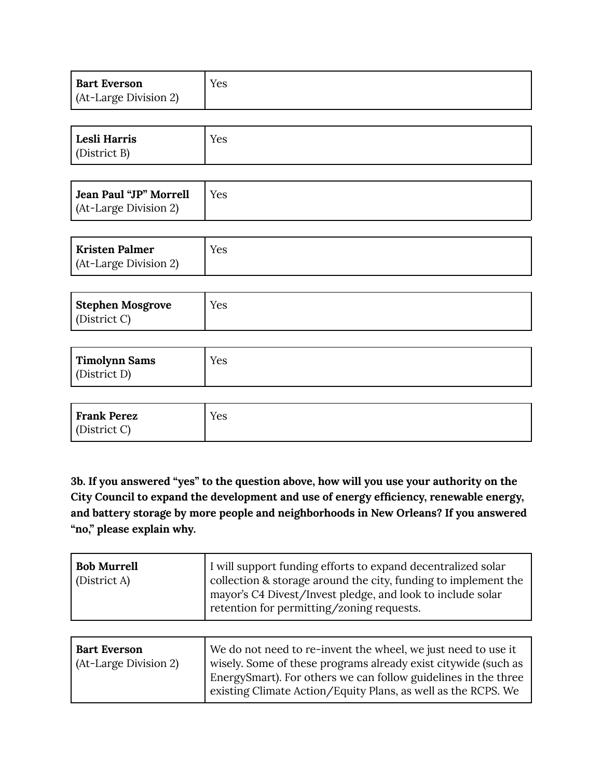| <b>Bart Everson</b>   | Yes |
|-----------------------|-----|
| (At-Large Division 2) |     |

| Lesli Harris<br>(District B) | Yes |
|------------------------------|-----|
|------------------------------|-----|

| Jean Paul "JP" Morrell | Yes |
|------------------------|-----|
| (At-Large Division 2)  |     |

| Kristen Palmer        | Yes |
|-----------------------|-----|
| (At-Large Division 2) |     |

| Stephen Mosgrove | Yes |
|------------------|-----|
| (District C)     |     |

| Timolynn Sams<br>(District D) | Yes |
|-------------------------------|-----|
|-------------------------------|-----|

| Frank Perez  | Yes |
|--------------|-----|
| (District C) |     |

**3b. If you answered "yes" to the question above, how will you use your authority on the City Council to expand the development and use of energy efficiency, renewable energy, and battery storage by more people and neighborhoods in New Orleans? If you answered "no," please explain why.**

| <b>Bob Murrell</b><br>$\int$ (District A) | I will support funding efforts to expand decentralized solar<br>collection & storage around the city, funding to implement the<br>I mayor's C4 Divest/Invest pledge, and look to include solar |
|-------------------------------------------|------------------------------------------------------------------------------------------------------------------------------------------------------------------------------------------------|
|                                           | retention for permitting/zoning requests.                                                                                                                                                      |

| <b>Bart Everson</b>   | We do not need to re-invent the wheel, we just need to use it                                                                   |
|-----------------------|---------------------------------------------------------------------------------------------------------------------------------|
| (At-Large Division 2) | wisely. Some of these programs already exist citywide (such as                                                                  |
|                       | EnergySmart). For others we can follow guidelines in the three<br>existing Climate Action/Equity Plans, as well as the RCPS. We |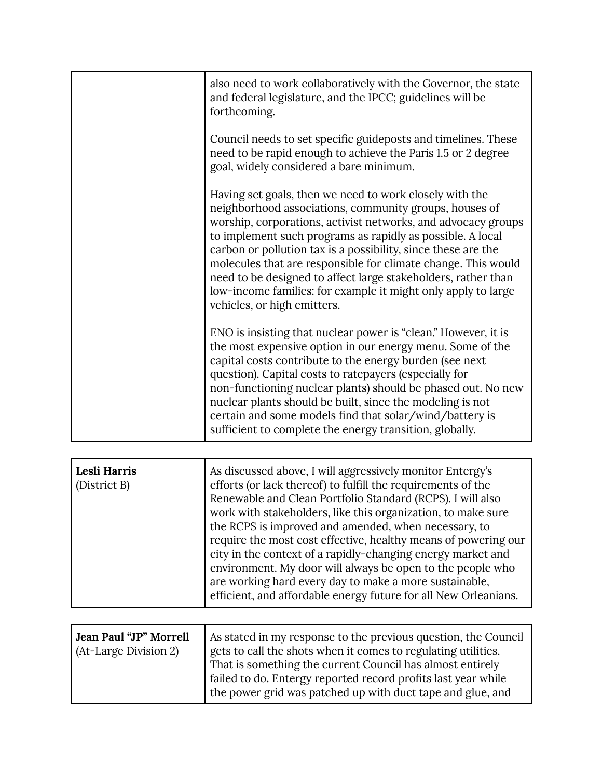| also need to work collaboratively with the Governor, the state<br>and federal legislature, and the IPCC; guidelines will be<br>forthcoming.                                                                                                                                                                                                                                                                                                                                                                                                         |
|-----------------------------------------------------------------------------------------------------------------------------------------------------------------------------------------------------------------------------------------------------------------------------------------------------------------------------------------------------------------------------------------------------------------------------------------------------------------------------------------------------------------------------------------------------|
| Council needs to set specific guideposts and timelines. These<br>need to be rapid enough to achieve the Paris 1.5 or 2 degree<br>goal, widely considered a bare minimum.                                                                                                                                                                                                                                                                                                                                                                            |
| Having set goals, then we need to work closely with the<br>neighborhood associations, community groups, houses of<br>worship, corporations, activist networks, and advocacy groups<br>to implement such programs as rapidly as possible. A local<br>carbon or pollution tax is a possibility, since these are the<br>molecules that are responsible for climate change. This would<br>need to be designed to affect large stakeholders, rather than<br>low-income families: for example it might only apply to large<br>vehicles, or high emitters. |
| ENO is insisting that nuclear power is "clean." However, it is<br>the most expensive option in our energy menu. Some of the<br>capital costs contribute to the energy burden (see next<br>question). Capital costs to ratepayers (especially for<br>non-functioning nuclear plants) should be phased out. No new<br>nuclear plants should be built, since the modeling is not<br>certain and some models find that solar/wind/battery is<br>sufficient to complete the energy transition, globally.                                                 |

| Lesli Harris<br>(District B) | As discussed above, I will aggressively monitor Entergy's<br>efforts (or lack thereof) to fulfill the requirements of the<br>Renewable and Clean Portfolio Standard (RCPS). I will also<br>work with stakeholders, like this organization, to make sure<br>the RCPS is improved and amended, when necessary, to<br>require the most cost effective, healthy means of powering our<br>city in the context of a rapidly-changing energy market and<br>environment. My door will always be open to the people who<br>are working hard every day to make a more sustainable,<br>efficient, and affordable energy future for all New Orleanians. |
|------------------------------|---------------------------------------------------------------------------------------------------------------------------------------------------------------------------------------------------------------------------------------------------------------------------------------------------------------------------------------------------------------------------------------------------------------------------------------------------------------------------------------------------------------------------------------------------------------------------------------------------------------------------------------------|
|------------------------------|---------------------------------------------------------------------------------------------------------------------------------------------------------------------------------------------------------------------------------------------------------------------------------------------------------------------------------------------------------------------------------------------------------------------------------------------------------------------------------------------------------------------------------------------------------------------------------------------------------------------------------------------|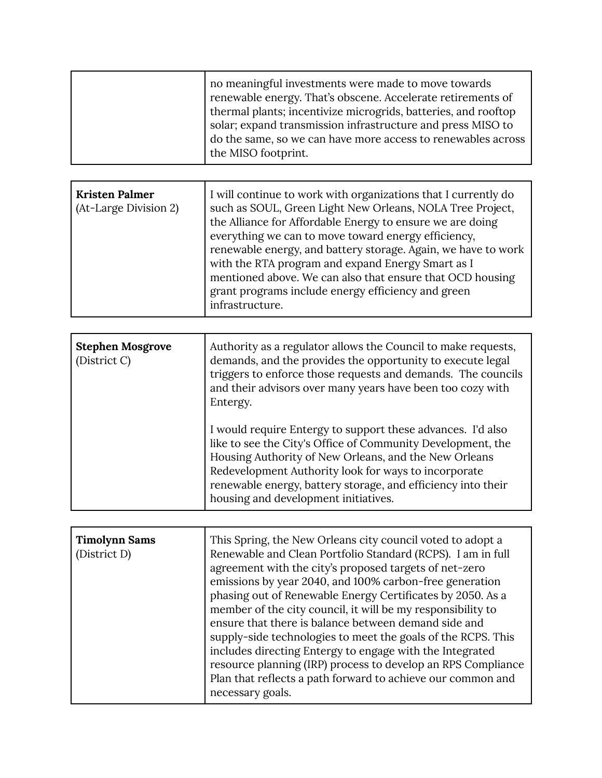| no meaningful investments were made to move towards<br>renewable energy. That's obscene. Accelerate retirements of<br>thermal plants; incentivize microgrids, batteries, and rooftop<br>solar; expand transmission infrastructure and press MISO to<br>do the same, so we can have more access to renewables across<br>the MISO footprint. |
|--------------------------------------------------------------------------------------------------------------------------------------------------------------------------------------------------------------------------------------------------------------------------------------------------------------------------------------------|
|                                                                                                                                                                                                                                                                                                                                            |

| <b>Kristen Palmer</b><br>(At-Large Division 2) | I will continue to work with organizations that I currently do<br>such as SOUL, Green Light New Orleans, NOLA Tree Project,<br>the Alliance for Affordable Energy to ensure we are doing<br>everything we can to move toward energy efficiency,<br>renewable energy, and battery storage. Again, we have to work<br>with the RTA program and expand Energy Smart as I<br>mentioned above. We can also that ensure that OCD housing<br>grant programs include energy efficiency and green |
|------------------------------------------------|------------------------------------------------------------------------------------------------------------------------------------------------------------------------------------------------------------------------------------------------------------------------------------------------------------------------------------------------------------------------------------------------------------------------------------------------------------------------------------------|
|                                                | infrastructure.                                                                                                                                                                                                                                                                                                                                                                                                                                                                          |

| <b>Stephen Mosgrove</b><br>(District C) | Authority as a regulator allows the Council to make requests,<br>demands, and the provides the opportunity to execute legal<br>triggers to enforce those requests and demands. The councils<br>and their advisors over many years have been too cozy with<br>Entergy.                                                                               |
|-----------------------------------------|-----------------------------------------------------------------------------------------------------------------------------------------------------------------------------------------------------------------------------------------------------------------------------------------------------------------------------------------------------|
|                                         | I would require Entergy to support these advances. I'd also<br>like to see the City's Office of Community Development, the<br>Housing Authority of New Orleans, and the New Orleans<br>Redevelopment Authority look for ways to incorporate<br>renewable energy, battery storage, and efficiency into their<br>housing and development initiatives. |

| <b>Timolynn Sams</b><br>(District D) | This Spring, the New Orleans city council voted to adopt a<br>Renewable and Clean Portfolio Standard (RCPS). I am in full<br>agreement with the city's proposed targets of net-zero<br>emissions by year 2040, and 100% carbon-free generation<br>phasing out of Renewable Energy Certificates by 2050. As a<br>member of the city council, it will be my responsibility to<br>ensure that there is balance between demand side and<br>supply-side technologies to meet the goals of the RCPS. This<br>includes directing Entergy to engage with the Integrated<br>resource planning (IRP) process to develop an RPS Compliance |
|--------------------------------------|---------------------------------------------------------------------------------------------------------------------------------------------------------------------------------------------------------------------------------------------------------------------------------------------------------------------------------------------------------------------------------------------------------------------------------------------------------------------------------------------------------------------------------------------------------------------------------------------------------------------------------|
|                                      | Plan that reflects a path forward to achieve our common and<br>necessary goals.                                                                                                                                                                                                                                                                                                                                                                                                                                                                                                                                                 |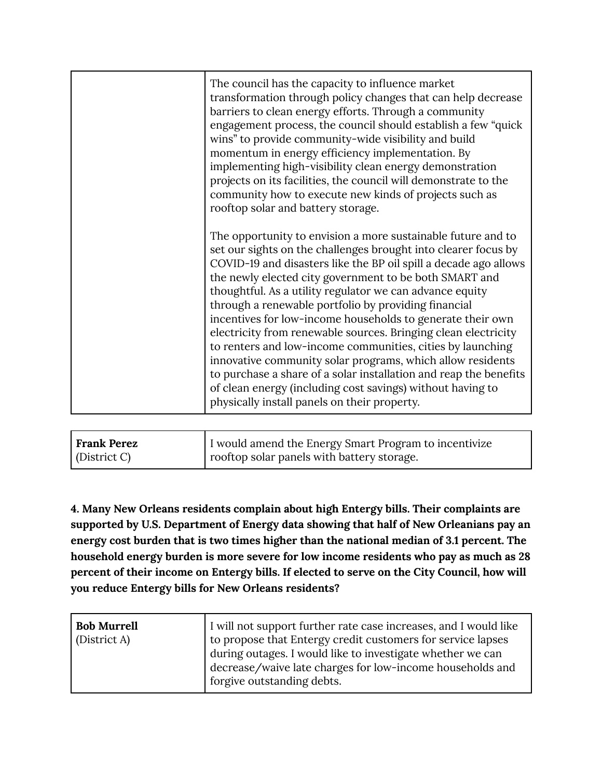| The council has the capacity to influence market<br>transformation through policy changes that can help decrease<br>barriers to clean energy efforts. Through a community<br>engagement process, the council should establish a few "quick"<br>wins" to provide community-wide visibility and build<br>momentum in energy efficiency implementation. By<br>implementing high-visibility clean energy demonstration<br>projects on its facilities, the council will demonstrate to the<br>community how to execute new kinds of projects such as<br>rooftop solar and battery storage.                                                                                                                                                                                                                                           |
|---------------------------------------------------------------------------------------------------------------------------------------------------------------------------------------------------------------------------------------------------------------------------------------------------------------------------------------------------------------------------------------------------------------------------------------------------------------------------------------------------------------------------------------------------------------------------------------------------------------------------------------------------------------------------------------------------------------------------------------------------------------------------------------------------------------------------------|
| The opportunity to envision a more sustainable future and to<br>set our sights on the challenges brought into clearer focus by<br>COVID-19 and disasters like the BP oil spill a decade ago allows<br>the newly elected city government to be both SMART and<br>thoughtful. As a utility regulator we can advance equity<br>through a renewable portfolio by providing financial<br>incentives for low-income households to generate their own<br>electricity from renewable sources. Bringing clean electricity<br>to renters and low-income communities, cities by launching<br>innovative community solar programs, which allow residents<br>to purchase a share of a solar installation and reap the benefits<br>of clean energy (including cost savings) without having to<br>physically install panels on their property. |

| Frank Perez  | I would amend the Energy Smart Program to incentivize |
|--------------|-------------------------------------------------------|
| (District C) | rooftop solar panels with battery storage.            |

**4. Many New Orleans residents complain about high Entergy bills. Their complaints are supported by U.S. Department of Energy data showing that half of New Orleanians pay an energy cost burden that is two times higher than the national median of 3.1 percent. The household energy burden is more severe for low income residents who pay as much as 28 percent of their income on Entergy bills. If elected to serve on the City Council, how will you reduce Entergy bills for New Orleans residents?**

| <b>Bob Murrell</b><br>(District A) | I will not support further rate case increases, and I would like<br>to propose that Entergy credit customers for service lapses<br>during outages. I would like to investigate whether we can<br>decrease/waive late charges for low-income households and |
|------------------------------------|------------------------------------------------------------------------------------------------------------------------------------------------------------------------------------------------------------------------------------------------------------|
|                                    | forgive outstanding debts.                                                                                                                                                                                                                                 |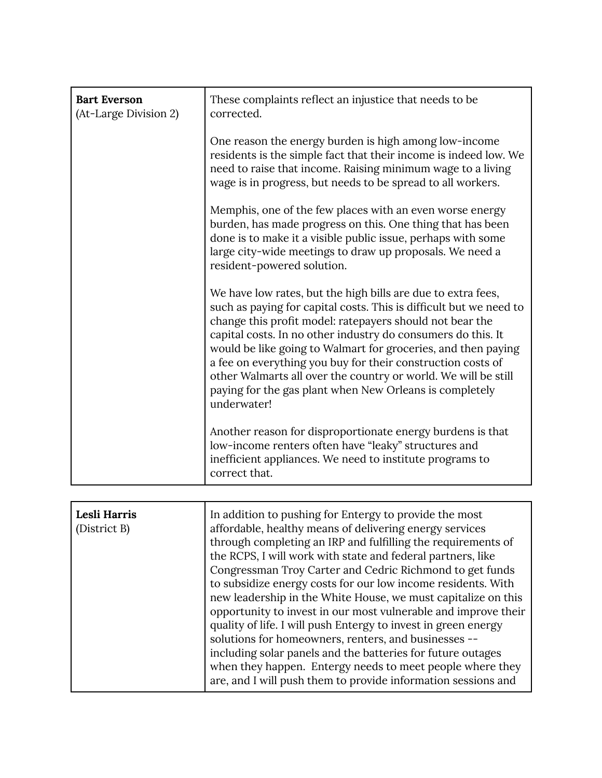| <b>Bart Everson</b><br>(At-Large Division 2) | These complaints reflect an injustice that needs to be<br>corrected.                                                                                                                                                                                                                                                                                                                                                                                                                                                                                                                                                                                                                                                                                                                                                                   |
|----------------------------------------------|----------------------------------------------------------------------------------------------------------------------------------------------------------------------------------------------------------------------------------------------------------------------------------------------------------------------------------------------------------------------------------------------------------------------------------------------------------------------------------------------------------------------------------------------------------------------------------------------------------------------------------------------------------------------------------------------------------------------------------------------------------------------------------------------------------------------------------------|
|                                              | One reason the energy burden is high among low-income<br>residents is the simple fact that their income is indeed low. We<br>need to raise that income. Raising minimum wage to a living<br>wage is in progress, but needs to be spread to all workers.                                                                                                                                                                                                                                                                                                                                                                                                                                                                                                                                                                                |
|                                              | Memphis, one of the few places with an even worse energy<br>burden, has made progress on this. One thing that has been<br>done is to make it a visible public issue, perhaps with some<br>large city-wide meetings to draw up proposals. We need a<br>resident-powered solution.                                                                                                                                                                                                                                                                                                                                                                                                                                                                                                                                                       |
|                                              | We have low rates, but the high bills are due to extra fees,<br>such as paying for capital costs. This is difficult but we need to<br>change this profit model: ratepayers should not bear the<br>capital costs. In no other industry do consumers do this. It<br>would be like going to Walmart for groceries, and then paying<br>a fee on everything you buy for their construction costs of<br>other Walmarts all over the country or world. We will be still<br>paying for the gas plant when New Orleans is completely<br>underwater!                                                                                                                                                                                                                                                                                             |
|                                              | Another reason for disproportionate energy burdens is that<br>low-income renters often have "leaky" structures and<br>inefficient appliances. We need to institute programs to<br>correct that.                                                                                                                                                                                                                                                                                                                                                                                                                                                                                                                                                                                                                                        |
|                                              |                                                                                                                                                                                                                                                                                                                                                                                                                                                                                                                                                                                                                                                                                                                                                                                                                                        |
| Lesli Harris<br>(District B)                 | In addition to pushing for Entergy to provide the most<br>affordable, healthy means of delivering energy services<br>through completing an IRP and fulfilling the requirements of<br>the RCPS, I will work with state and federal partners, like<br>Congressman Troy Carter and Cedric Richmond to get funds<br>to subsidize energy costs for our low income residents. With<br>new leadership in the White House, we must capitalize on this<br>opportunity to invest in our most vulnerable and improve their<br>quality of life. I will push Entergy to invest in green energy<br>solutions for homeowners, renters, and businesses --<br>including solar panels and the batteries for future outages<br>when they happen. Entergy needs to meet people where they<br>are, and I will push them to provide information sessions and |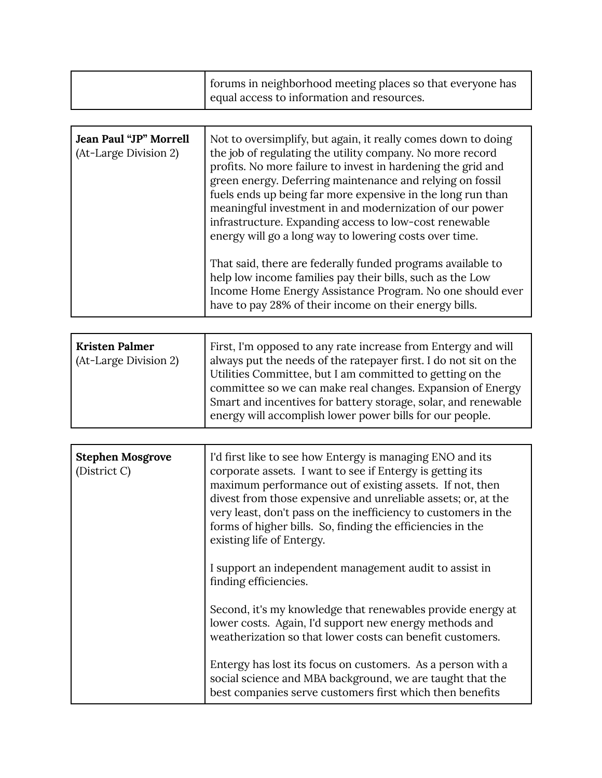| forums in neighborhood meeting places so that everyone has<br>equal access to information and resources. |
|----------------------------------------------------------------------------------------------------------|
|                                                                                                          |

| Jean Paul "JP" Morrell<br>(At-Large Division 2) | Not to oversimplify, but again, it really comes down to doing<br>the job of regulating the utility company. No more record<br>profits. No more failure to invest in hardening the grid and<br>green energy. Deferring maintenance and relying on fossil<br>fuels ends up being far more expensive in the long run than<br>meaningful investment in and modernization of our power<br>infrastructure. Expanding access to low-cost renewable<br>energy will go a long way to lowering costs over time.<br>That said, there are federally funded programs available to<br>help low income families pay their bills, such as the Low |
|-------------------------------------------------|-----------------------------------------------------------------------------------------------------------------------------------------------------------------------------------------------------------------------------------------------------------------------------------------------------------------------------------------------------------------------------------------------------------------------------------------------------------------------------------------------------------------------------------------------------------------------------------------------------------------------------------|
|                                                 | Income Home Energy Assistance Program. No one should ever<br>have to pay 28% of their income on their energy bills.                                                                                                                                                                                                                                                                                                                                                                                                                                                                                                               |

| <b>Kristen Palmer</b><br>(At-Large Division 2) | First, I'm opposed to any rate increase from Entergy and will<br>always put the needs of the ratepayer first. I do not sit on the<br>Utilities Committee, but I am committed to getting on the<br>committee so we can make real changes. Expansion of Energy<br>Smart and incentives for battery storage, solar, and renewable<br>energy will accomplish lower power bills for our people. |
|------------------------------------------------|--------------------------------------------------------------------------------------------------------------------------------------------------------------------------------------------------------------------------------------------------------------------------------------------------------------------------------------------------------------------------------------------|

| <b>Stephen Mosgrove</b><br>(District C) | I'd first like to see how Entergy is managing ENO and its<br>corporate assets. I want to see if Entergy is getting its<br>maximum performance out of existing assets. If not, then<br>divest from those expensive and unreliable assets; or, at the<br>very least, don't pass on the inefficiency to customers in the<br>forms of higher bills. So, finding the efficiencies in the<br>existing life of Entergy. |
|-----------------------------------------|------------------------------------------------------------------------------------------------------------------------------------------------------------------------------------------------------------------------------------------------------------------------------------------------------------------------------------------------------------------------------------------------------------------|
|                                         | I support an independent management audit to assist in<br>finding efficiencies.                                                                                                                                                                                                                                                                                                                                  |
|                                         | Second, it's my knowledge that renewables provide energy at<br>lower costs. Again, I'd support new energy methods and<br>weatherization so that lower costs can benefit customers.                                                                                                                                                                                                                               |
|                                         | Entergy has lost its focus on customers. As a person with a<br>social science and MBA background, we are taught that the<br>best companies serve customers first which then benefits                                                                                                                                                                                                                             |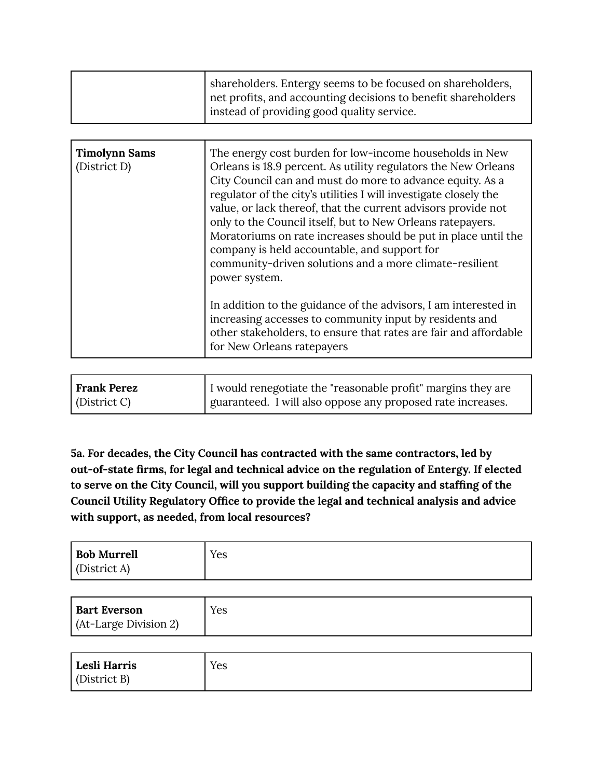| shareholders. Entergy seems to be focused on shareholders,<br>net profits, and accounting decisions to benefit shareholders |
|-----------------------------------------------------------------------------------------------------------------------------|
| instead of providing good quality service.                                                                                  |

| <b>Timolynn Sams</b><br>(District D) | The energy cost burden for low-income households in New<br>Orleans is 18.9 percent. As utility regulators the New Orleans<br>City Council can and must do more to advance equity. As a<br>regulator of the city's utilities I will investigate closely the<br>value, or lack thereof, that the current advisors provide not<br>only to the Council itself, but to New Orleans ratepayers.<br>Moratoriums on rate increases should be put in place until the<br>company is held accountable, and support for<br>community-driven solutions and a more climate-resilient<br>power system.<br>In addition to the guidance of the advisors, I am interested in<br>increasing accesses to community input by residents and<br>other stakeholders, to ensure that rates are fair and affordable<br>for New Orleans ratepayers |
|--------------------------------------|-------------------------------------------------------------------------------------------------------------------------------------------------------------------------------------------------------------------------------------------------------------------------------------------------------------------------------------------------------------------------------------------------------------------------------------------------------------------------------------------------------------------------------------------------------------------------------------------------------------------------------------------------------------------------------------------------------------------------------------------------------------------------------------------------------------------------|
|                                      |                                                                                                                                                                                                                                                                                                                                                                                                                                                                                                                                                                                                                                                                                                                                                                                                                         |

| Frank Perez  | I would renegotiate the "reasonable profit" margins they are |
|--------------|--------------------------------------------------------------|
| (District C) | guaranteed. I will also oppose any proposed rate increases.  |

**5a. For decades, the City Council has contracted with the same contractors, led by out-of-state firms, for legal and technical advice on the regulation of Entergy. If elected to serve on the City Council, will you support building the capacity and staffing of the Council Utility Regulatory Office to provide the legal and technical analysis and advice with support, as needed, from local resources?**

| <b>Bob Murrell</b>  | Yes |
|---------------------|-----|
| $\int$ (District A) |     |

| <b>Bart Everson</b>   | Yes |
|-----------------------|-----|
| (At-Large Division 2) |     |

| Lesli Harris        | $V_{\mathbf{C}}$ |
|---------------------|------------------|
| $\int$ (District B) | 1 C.S            |
|                     |                  |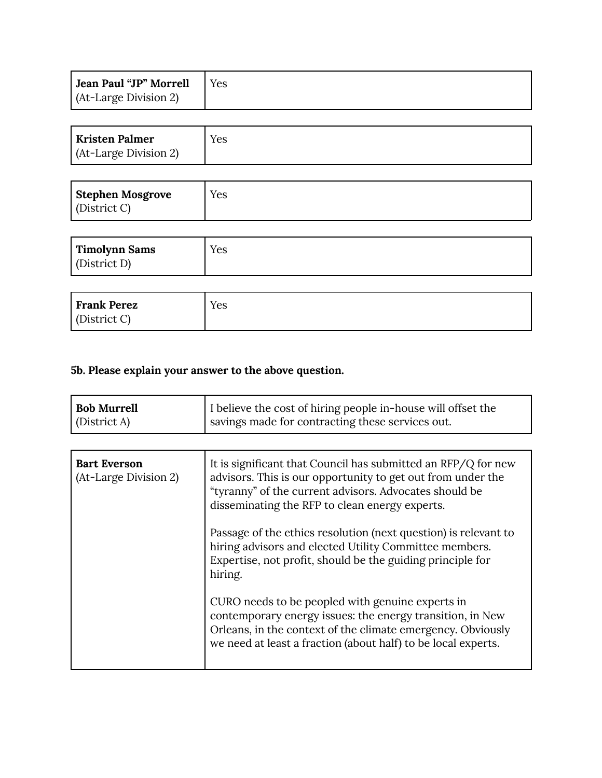| Jean Paul "JP" Morrell | l Yes |
|------------------------|-------|
| (At-Large Division 2)  |       |

| <b>Kristen Palmer</b><br>(At-Large Division 2) | Yes |
|------------------------------------------------|-----|
|                                                |     |

| Stephen Mosgrove | Yes |
|------------------|-----|
| (District C)     |     |

| Timolynn Sams | Yes |
|---------------|-----|
| (District D)  |     |

| Frank Perez  | Yes |
|--------------|-----|
| (District C) |     |

## **5b. Please explain your answer to the above question.**

| <b>Bob Murrell</b> | I believe the cost of hiring people in-house will offset the |
|--------------------|--------------------------------------------------------------|
| District A         | savings made for contracting these services out.             |
|                    |                                                              |

| <b>Bart Everson</b><br>(At-Large Division 2) | It is significant that Council has submitted an RFP/Q for new<br>advisors. This is our opportunity to get out from under the<br>"tyranny" of the current advisors. Advocates should be<br>disseminating the RFP to clean energy experts.      |
|----------------------------------------------|-----------------------------------------------------------------------------------------------------------------------------------------------------------------------------------------------------------------------------------------------|
|                                              | Passage of the ethics resolution (next question) is relevant to<br>hiring advisors and elected Utility Committee members.<br>Expertise, not profit, should be the guiding principle for<br>hiring.                                            |
|                                              | CURO needs to be peopled with genuine experts in<br>contemporary energy issues: the energy transition, in New<br>Orleans, in the context of the climate emergency. Obviously<br>we need at least a fraction (about half) to be local experts. |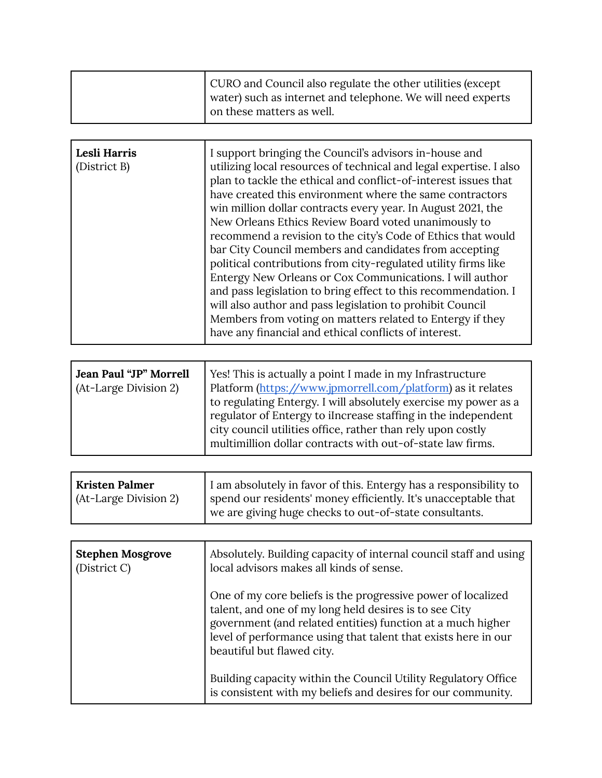| CURO and Council also regulate the other utilities (except<br>water) such as internet and telephone. We will need experts<br>on these matters as well. |
|--------------------------------------------------------------------------------------------------------------------------------------------------------|
|                                                                                                                                                        |

| Lesli Harris<br>(District B) | I support bringing the Council's advisors in-house and<br>utilizing local resources of technical and legal expertise. I also<br>plan to tackle the ethical and conflict-of-interest issues that<br>have created this environment where the same contractors<br>win million dollar contracts every year. In August 2021, the<br>New Orleans Ethics Review Board voted unanimously to<br>recommend a revision to the city's Code of Ethics that would<br>bar City Council members and candidates from accepting<br>political contributions from city-regulated utility firms like<br>Entergy New Orleans or Cox Communications. I will author<br>and pass legislation to bring effect to this recommendation. I |
|------------------------------|---------------------------------------------------------------------------------------------------------------------------------------------------------------------------------------------------------------------------------------------------------------------------------------------------------------------------------------------------------------------------------------------------------------------------------------------------------------------------------------------------------------------------------------------------------------------------------------------------------------------------------------------------------------------------------------------------------------|
|                              |                                                                                                                                                                                                                                                                                                                                                                                                                                                                                                                                                                                                                                                                                                               |
|                              | will also author and pass legislation to prohibit Council<br>Members from voting on matters related to Entergy if they<br>have any financial and ethical conflicts of interest.                                                                                                                                                                                                                                                                                                                                                                                                                                                                                                                               |

| Jean Paul "JP" Morrell<br>(At-Large Division 2) | Yes! This is actually a point I made in my Infrastructure<br>Platform (https://www.jpmorrell.com/platform) as it relates<br>to regulating Entergy. I will absolutely exercise my power as a |
|-------------------------------------------------|---------------------------------------------------------------------------------------------------------------------------------------------------------------------------------------------|
|                                                 | regulator of Entergy to iIncrease staffing in the independent<br>city council utilities office, rather than rely upon costly<br>multimillion dollar contracts with out-of-state law firms.  |

| Kristen Palmer        | I am absolutely in favor of this. Entergy has a responsibility to |
|-----------------------|-------------------------------------------------------------------|
| (At-Large Division 2) | spend our residents' money efficiently. It's unacceptable that    |
|                       | we are giving huge checks to out-of-state consultants.            |

| <b>Stephen Mosgrove</b><br>(District C) | Absolutely. Building capacity of internal council staff and using<br>local advisors makes all kinds of sense.                                                                                                                                                                         |
|-----------------------------------------|---------------------------------------------------------------------------------------------------------------------------------------------------------------------------------------------------------------------------------------------------------------------------------------|
|                                         | One of my core beliefs is the progressive power of localized<br>talent, and one of my long held desires is to see City<br>government (and related entities) function at a much higher<br>level of performance using that talent that exists here in our<br>beautiful but flawed city. |
|                                         | Building capacity within the Council Utility Regulatory Office<br>is consistent with my beliefs and desires for our community.                                                                                                                                                        |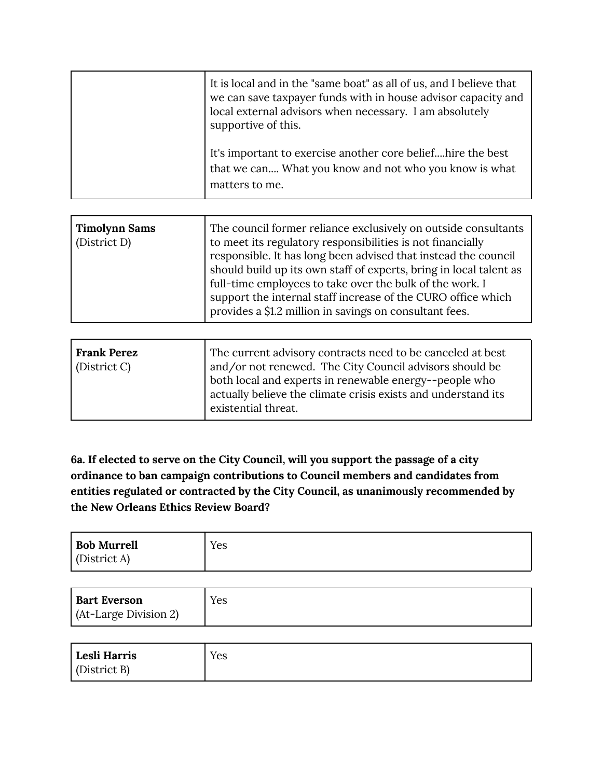| It is local and in the "same boat" as all of us, and I believe that<br>we can save taxpayer funds with in house advisor capacity and<br>local external advisors when necessary. I am absolutely<br>supportive of this. |
|------------------------------------------------------------------------------------------------------------------------------------------------------------------------------------------------------------------------|
| It's important to exercise another core beliefhire the best<br>that we can What you know and not who you know is what<br>matters to me.                                                                                |

| <b>Timolynn Sams</b><br>(District D) | The council former reliance exclusively on outside consultants<br>to meet its regulatory responsibilities is not financially<br>responsible. It has long been advised that instead the council<br>should build up its own staff of experts, bring in local talent as<br>full-time employees to take over the bulk of the work. I<br>support the internal staff increase of the CURO office which<br>provides a \$1.2 million in savings on consultant fees. |
|--------------------------------------|-------------------------------------------------------------------------------------------------------------------------------------------------------------------------------------------------------------------------------------------------------------------------------------------------------------------------------------------------------------------------------------------------------------------------------------------------------------|
|--------------------------------------|-------------------------------------------------------------------------------------------------------------------------------------------------------------------------------------------------------------------------------------------------------------------------------------------------------------------------------------------------------------------------------------------------------------------------------------------------------------|

| <b>Frank Perez</b><br>$\vert$ (District C) | The current advisory contracts need to be canceled at best<br>and/or not renewed. The City Council advisors should be<br>both local and experts in renewable energy--people who |
|--------------------------------------------|---------------------------------------------------------------------------------------------------------------------------------------------------------------------------------|
|                                            | actually believe the climate crisis exists and understand its<br>existential threat.                                                                                            |

**6a. If elected to serve on the City Council, will you support the passage of a city ordinance to ban campaign contributions to Council members and candidates from entities regulated or contracted by the City Council, as unanimously recommended by the New Orleans Ethics Review Board?**

| <b>Bob Murrell</b><br>(District A)           | Yes |
|----------------------------------------------|-----|
| <b>Bart Everson</b><br>(At-Large Division 2) | Yes |
|                                              |     |

| Lesli Harris         | Yes |
|----------------------|-----|
| $\vert$ (District B) |     |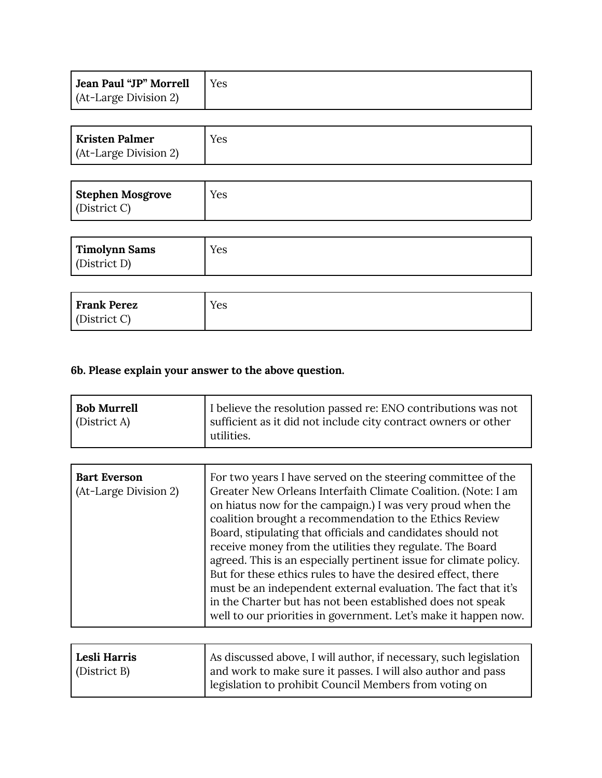| Jean Paul "JP" Morrell | l Yes |
|------------------------|-------|
| (At-Large Division 2)  |       |

| <b>Kristen Palmer</b> | Yes |
|-----------------------|-----|
| (At-Large Division 2) |     |

| Stephen Mosgrove | Yes |
|------------------|-----|
| (District C)     |     |

| Timolynn Sams | Yes |
|---------------|-----|
| (District D)  |     |

| Frank Perez  | Yes |
|--------------|-----|
| (District C) |     |

## **6b. Please explain your answer to the above question.**

| I believe the resolution passed re: ENO contributions was not<br><b>Bob Murrell</b><br>sufficient as it did not include city contract owners or other<br>(District A)<br>utilities. |  |
|-------------------------------------------------------------------------------------------------------------------------------------------------------------------------------------|--|
|-------------------------------------------------------------------------------------------------------------------------------------------------------------------------------------|--|

| <b>Bart Everson</b><br>(At-Large Division 2) | For two years I have served on the steering committee of the<br>Greater New Orleans Interfaith Climate Coalition. (Note: I am<br>on hiatus now for the campaign.) I was very proud when the<br>coalition brought a recommendation to the Ethics Review<br>Board, stipulating that officials and candidates should not<br>receive money from the utilities they regulate. The Board<br>agreed. This is an especially pertinent issue for climate policy.<br>But for these ethics rules to have the desired effect, there<br>must be an independent external evaluation. The fact that it's |
|----------------------------------------------|-------------------------------------------------------------------------------------------------------------------------------------------------------------------------------------------------------------------------------------------------------------------------------------------------------------------------------------------------------------------------------------------------------------------------------------------------------------------------------------------------------------------------------------------------------------------------------------------|
|                                              | in the Charter but has not been established does not speak<br>well to our priorities in government. Let's make it happen now.                                                                                                                                                                                                                                                                                                                                                                                                                                                             |

| Lesli Harris | As discussed above, I will author, if necessary, such legislation |
|--------------|-------------------------------------------------------------------|
| (District B) | and work to make sure it passes. I will also author and pass      |
|              | elegislation to prohibit Council Members from voting on           |